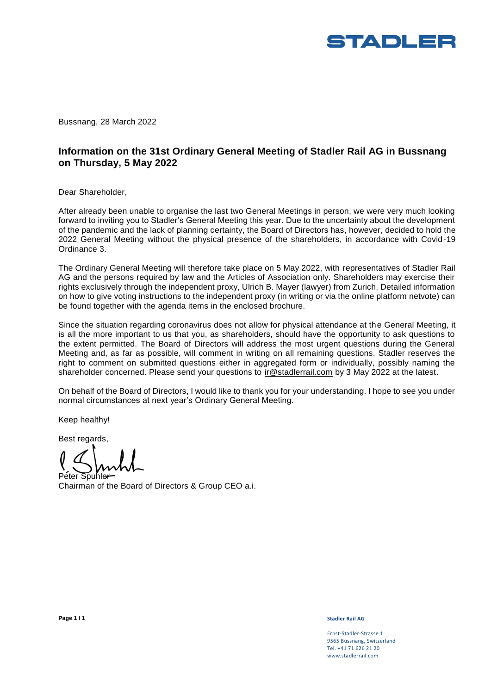

Bussnang, 28 March 2022

# **Information on the 31st Ordinary General Meeting of Stadler Rail AG in Bussnang on Thursday, 5 May 2022**

Dear Shareholder,

After already been unable to organise the last two General Meetings in person, we were very much looking forward to inviting you to Stadler's General Meeting this year. Due to the uncertainty about the development of the pandemic and the lack of planning certainty, the Board of Directors has, however, decided to hold the 2022 General Meeting without the physical presence of the shareholders, in accordance with Covid-19 Ordinance 3.

The Ordinary General Meeting will therefore take place on 5 May 2022, with representatives of Stadler Rail AG and the persons required by law and the Articles of Association only. Shareholders may exercise their rights exclusively through the independent proxy, Ulrich B. Mayer (lawyer) from Zurich. Detailed information on how to give voting instructions to the independent proxy (in writing or via the online platform netvote) can be found together with the agenda items in the enclosed brochure.

Since the situation regarding coronavirus does not allow for physical attendance at the General Meeting, it is all the more important to us that you, as shareholders, should have the opportunity to ask questions to the extent permitted. The Board of Directors will address the most urgent questions during the General Meeting and, as far as possible, will comment in writing on all remaining questions. Stadler reserves the right to comment on submitted questions either in aggregated form or individually, possibly naming the shareholder concerned. Please send your questions to [ir@stadlerrail.com](mailto:ir@stadlerrail.com) by 3 May 2022 at the latest.

On behalf of the Board of Directors, I would like to thank you for your understanding. I hope to see you under normal circumstances at next year's Ordinary General Meeting.

Keep healthy!

Best regards,

Peter Spuhler

Chairman of the Board of Directors & Group CEO a.i.

Ernst-Stadler-Strasse 1 9565 Bussnang, Switzerland Tel. +41 71 626 21 20 www.stadlerrail.com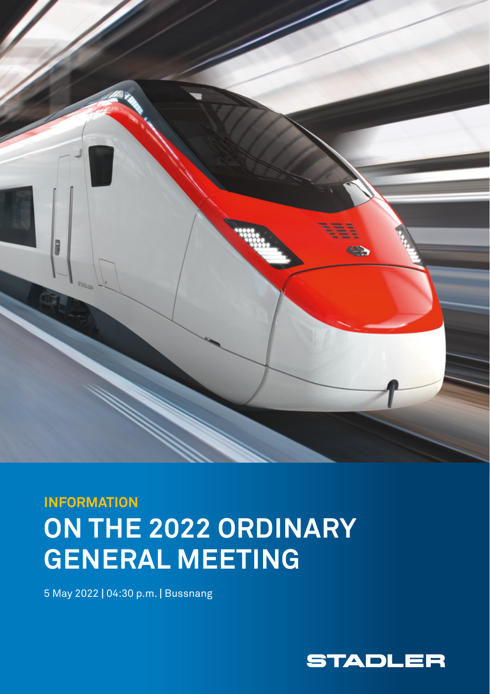

# **INFORMATION ON THE 2022 ORDINARY GENERAL MEETING**

5 May 2022 **|** 04:30 p.m. **|** Bussnang

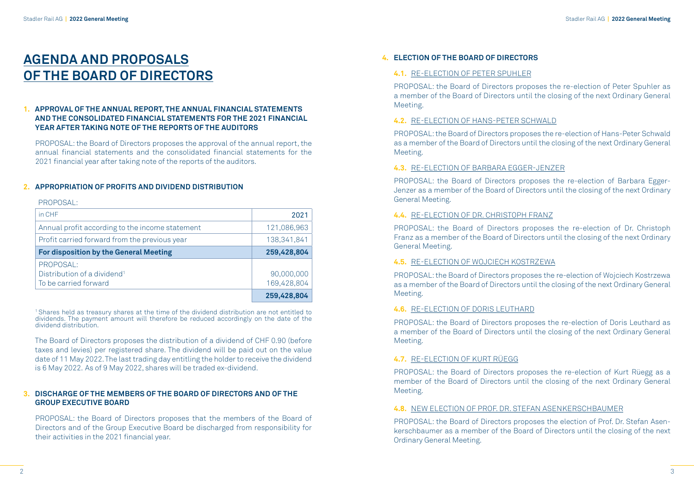# **AGENDA AND PROPOSALS OF THE BOARD OF DIRECTORS**

### **1. APPROVAL OF THE ANNUAL REPORT, THE ANNUAL FINANCIAL STATEMENTS AND THE CONSOLIDATED FINANCIAL STATEMENTS FOR THE 2021 FINANCIAL YEAR AFTER TAKING NOTE OF THE REPORTS OF THE AUDITORS**

PROPOSAL: the Board of Directors proposes the approval of the annual report, the annual financial statements and the consolidated financial statements for the 2021 financial year after taking note of the reports of the auditors.

#### **2. APPROPRIATION OF PROFITS AND DIVIDEND DISTRIBUTION**

#### PROPOSAL·

| in CHF                                          | 2021        |
|-------------------------------------------------|-------------|
| Annual profit according to the income statement | 121,086,963 |
| Profit carried forward from the previous year   | 138.341.841 |
| <b>For disposition by the General Meeting</b>   | 259,428,804 |
| PROPOSAL:                                       |             |
| Distribution of a dividend <sup>1</sup>         | 90,000,000  |
| To be carried forward                           | 169,428,804 |
|                                                 | 259,428,804 |

1 Shares held as treasury shares at the time of the dividend distribution are not entitled to dividends. The payment amount will therefore be reduced accordingly on the date of the dividend distribution.

The Board of Directors proposes the distribution of a dividend of CHF 0.90 (before taxes and levies) per registered share. The dividend will be paid out on the value date of 11 May 2022. The last trading day entitling the holder to receive the dividend is 6 May 2022. As of 9 May 2022, shares will be traded ex-dividend.

### **3. DISCHARGE OF THE MEMBERS OF THE BOARD OF DIRECTORS AND OF THE GROUP EXECUTIVE BOARD**

PROPOSAL: the Board of Directors proposes that the members of the Board of Directors and of the Group Executive Board be discharged from responsibility for their activities in the 2021 financial year.

## **4. ELECTION OF THE BOARD OF DIRECTORS**

#### **4.1.** RE-ELECTION OF PETER SPUHLER

PROPOSAL: the Board of Directors proposes the re-election of Peter Spuhler as a member of the Board of Directors until the closing of the next Ordinary General Meeting.

#### **4.2.** RE-ELECTION OF HANS-PETER SCHWALD

PROPOSAL: the Board of Directors proposes the re-election of Hans-Peter Schwald as a member of the Board of Directors until the closing of the next Ordinary General Meeting.

#### **4.3.** RE-ELECTION OF BARBARA EGGER-JENZER

PROPOSAL: the Board of Directors proposes the re-election of Barbara Egger-Jenzer as a member of the Board of Directors until the closing of the next Ordinary General Meeting.

#### **4.4.** RE-ELECTION OF DR. CHRISTOPH FRANZ

PROPOSAL: the Board of Directors proposes the re-election of Dr. Christoph Franz as a member of the Board of Directors until the closing of the next Ordinary General Meeting.

#### **4.5.** RE-ELECTION OF WOJCIECH KOSTRZEWA

PROPOSAL: the Board of Directors proposes the re-election of Wojciech Kostrzewa as a member of the Board of Directors until the closing of the next Ordinary General Meeting.

#### **4.6.** RE-ELECTION OF DORIS LEUTHARD

PROPOSAL: the Board of Directors proposes the re-election of Doris Leuthard as a member of the Board of Directors until the closing of the next Ordinary General Meeting.

#### **4.7.** RE-ELECTION OF KURT RÜEGG

PROPOSAL: the Board of Directors proposes the re-election of Kurt Rüegg as a member of the Board of Directors until the closing of the next Ordinary General Meeting.

#### **4.8.** NEW ELECTION OF PROF. DR. STEFAN ASENKERSCHBAUMER

PROPOSAL: the Board of Directors proposes the election of Prof. Dr. Stefan Asenkerschbaumer as a member of the Board of Directors until the closing of the next Ordinary General Meeting.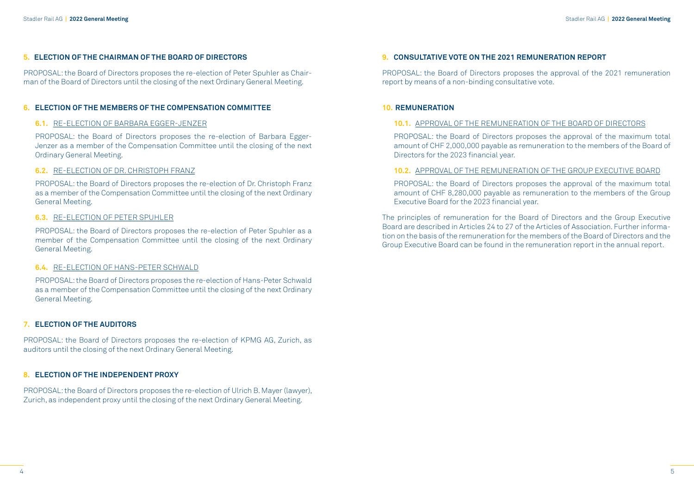#### **5. ELECTION OF THE CHAIRMAN OF THE BOARD OF DIRECTORS**

PROPOSAL: the Board of Directors proposes the re-election of Peter Spuhler as Chairman of the Board of Directors until the closing of the next Ordinary General Meeting.

#### **6. ELECTION OF THE MEMBERS OF THE COMPENSATION COMMITTEE**

#### **6.1.** RE-ELECTION OF BARBARA EGGER-JENZER

PROPOSAL: the Board of Directors proposes the re-election of Barbara Egger-Jenzer as a member of the Compensation Committee until the closing of the next Ordinary General Meeting.

#### **6.2.** RE-ELECTION OF DR. CHRISTOPH FRANZ

PROPOSAL: the Board of Directors proposes the re-election of Dr. Christoph Franz as a member of the Compensation Committee until the closing of the next Ordinary General Meeting.

#### **6.3.** RE-ELECTION OF PETER SPUHLER

PROPOSAL: the Board of Directors proposes the re-election of Peter Spuhler as a member of the Compensation Committee until the closing of the next Ordinary General Meeting.

#### **6.4.** RE-ELECTION OF HANS-PETER SCHWALD

PROPOSAL: the Board of Directors proposes the re-election of Hans-Peter Schwald as a member of the Compensation Committee until the closing of the next Ordinary General Meeting.

#### **7. ELECTION OF THE AUDITORS**

PROPOSAL: the Board of Directors proposes the re-election of KPMG AG, Zurich, as auditors until the closing of the next Ordinary General Meeting.

#### **8. ELECTION OF THE INDEPENDENT PROXY**

PROPOSAL: the Board of Directors proposes the re-election of Ulrich B. Mayer (lawyer), Zurich, as independent proxy until the closing of the next Ordinary General Meeting.

#### **9. CONSULTATIVE VOTE ON THE 2021 REMUNERATION REPORT**

PROPOSAL: the Board of Directors proposes the approval of the 2021 remuneration report by means of a non-binding consultative vote.

#### **10. REMUNERATION**

#### **10.1.** APPROVAL OF THE REMUNERATION OF THE BOARD OF DIRECTORS

PROPOSAL: the Board of Directors proposes the approval of the maximum total amount of CHF 2,000,000 payable as remuneration to the members of the Board of Directors for the 2023 financial year.

#### **10.2.** APPROVAL OF THE REMUNERATION OF THE GROUP EXECUTIVE BOARD

PROPOSAL: the Board of Directors proposes the approval of the maximum total amount of CHF 8,280,000 payable as remuneration to the members of the Group Executive Board for the 2023 financial year.

The principles of remuneration for the Board of Directors and the Group Executive Board are described in Articles 24 to 27 of the Articles of Association. Further information on the basis of the remuneration for the members of the Board of Directors and the Group Executive Board can be found in the remuneration report in the annual report.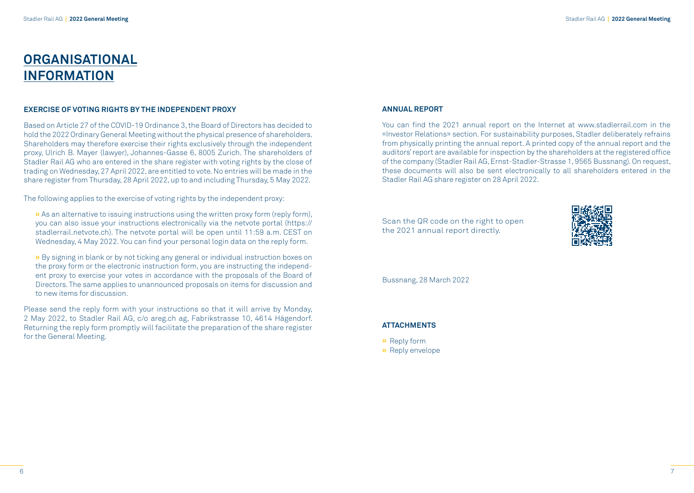# **ORGANISATIONAL INFORMATION**

#### **EXERCISE OF VOTING RIGHTS BY THE INDEPENDENT PROXY**

Based on Article 27 of the COVID-19 Ordinance 3, the Board of Directors has decided to hold the 2022 Ordinary General Meeting without the physical presence of shareholders. Shareholders may therefore exercise their rights exclusively through the independent proxy, Ulrich B. Mayer (lawyer), Johannes-Gasse 6, 8005 Zurich. The shareholders of Stadler Rail AG who are entered in the share register with voting rights by the close of trading on Wednesday, 27 April 2022, are entitled to vote. No entries will be made in the share register from Thursday, 28 April 2022, up to and including Thursday, 5 May 2022.

The following applies to the exercise of voting rights by the independent proxy:

- **»** As an alternative to issuing instructions using the written proxy form (reply form), you can also issue your instructions electronically via the netvote portal (https:// stadlerrail.netvote.ch). The netvote portal will be open until 11:59 a.m. CEST on Wednesday, 4 May 2022. You can find your personal login data on the reply form.
- **»** By signing in blank or by not ticking any general or individual instruction boxes on the proxy form or the electronic instruction form, you are instructing the independent proxy to exercise your votes in accordance with the proposals of the Board of Directors. The same applies to unannounced proposals on items for discussion and to new items for discussion.
- Please send the reply form with your instructions so that it will arrive by Monday, 2 May 2022, to Stadler Rail AG, c/o areg.ch ag, Fabrikstrasse 10, 4614 Hägendorf. Returning the reply form promptly will facilitate the preparation of the share register for the General Meeting.

#### **ANNUAL REPORT**

You can find the 2021 annual report on the Internet at www.stadlerrail.com in the «Investor Relations» section. For sustainability purposes, Stadler deliberately refrains from physically printing the annual report. A printed copy of the annual report and the auditors' report are available for inspection by the shareholders at the registered office of the company (Stadler Rail AG, Ernst-Stadler-Strasse 1, 9565 Bussnang). On request, these documents will also be sent electronically to all shareholders entered in the Stadler Rail AG share register on 28 April 2022.

Scan the QR code on the right to open the 2021 annual report directly.



Bussnang, 28 March 2022

#### **ATTACHMENTS**

- **»** Reply form
- **»** Reply envelope